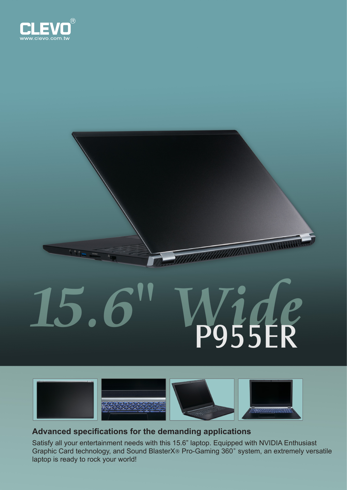

 $\mathcal{E}_{\mathbf{q}}$  . As we

## **15.6" Wide** P955ER

WANNININININIA



## **Advanced specifications for the demanding applications**

Satisfy all your entertainment needs with this 15.6" laptop. Equipped with NVIDIA Enthusiast Graphic Card technology, and Sound BlasterX® Pro-Gaming 360˚ system, an extremely versatile laptop is ready to rock your world!